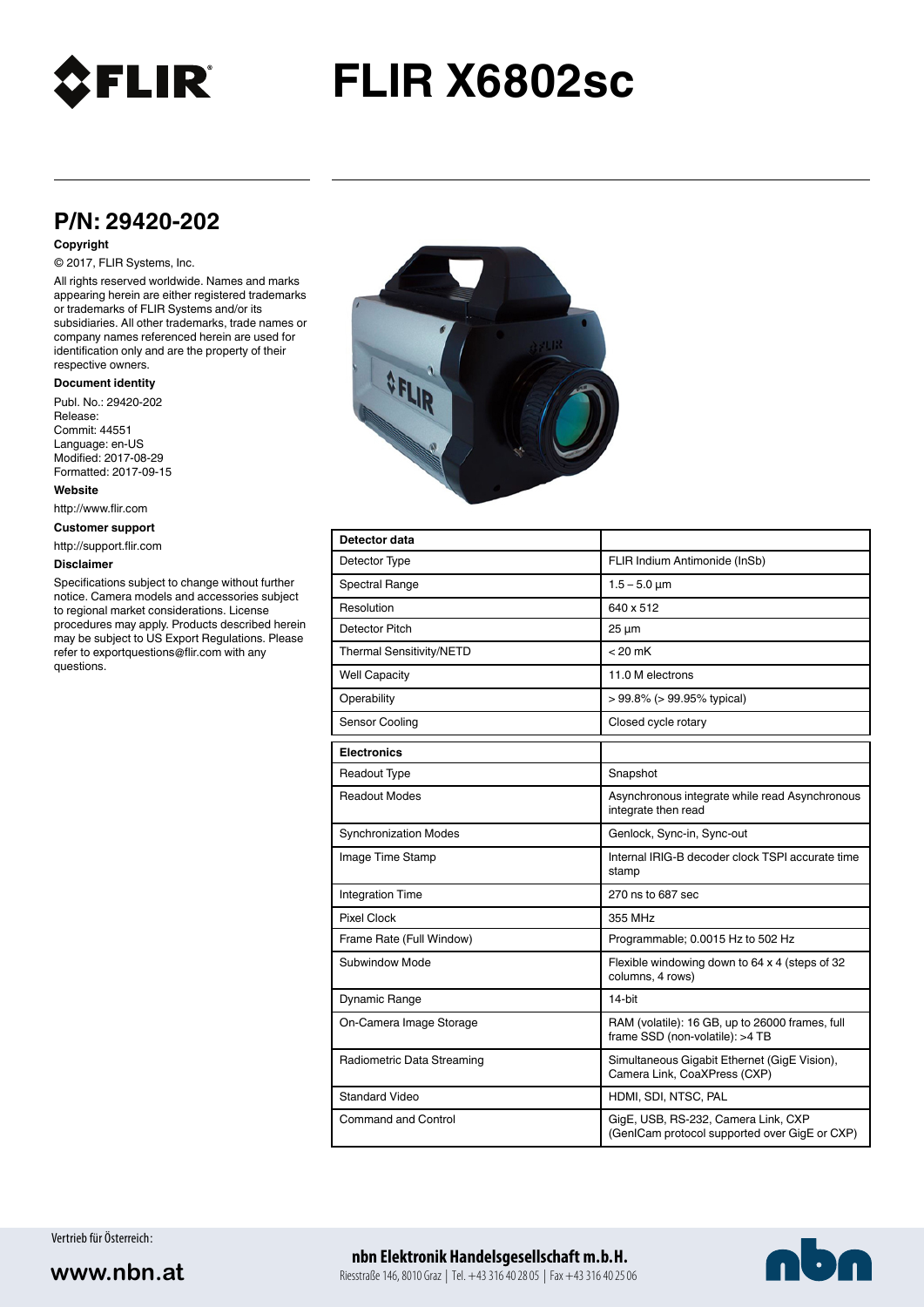

# **FLIR X6802sc**

# **P/N: 29420-202**

#### **Copyright**

## © 2017, FLIR Systems, Inc.

All rights reserved worldwide. Names and marks appearing herein are either registered trademarks or trademarks of FLIR Systems and/or its subsidiaries. All other trademarks, trade names or company names referenced herein are used for identification only and are the property of their respective owners.

#### **Document identity**

Publ. No.: 29420-202 Release: Commit: 44551 Language: en-US Modified: 2017-08-29 Formatted: 2017-09-15

**Website**

http://www.flir.com

**Customer support**

http://support.flir.com

#### **Disclaimer**

Specifications subject to change without further notice. Camera models and accessories subject to regional market considerations. License procedures may apply. Products described herein may be subject to US Export Regulations. Please refer to exportquestions@flir.com with any questions.



| Detector data                |                                                                                      |
|------------------------------|--------------------------------------------------------------------------------------|
| Detector Type                | FLIR Indium Antimonide (InSb)                                                        |
| <b>Spectral Range</b>        | $1.5 - 5.0 \mu m$                                                                    |
| Resolution                   | 640 x 512                                                                            |
| Detector Pitch               | $25 \mu m$                                                                           |
| Thermal Sensitivity/NETD     | $< 20$ mK                                                                            |
| <b>Well Capacity</b>         | 11.0 M electrons                                                                     |
| Operability                  | $> 99.8\%$ ( $> 99.95\%$ typical)                                                    |
| Sensor Cooling               | Closed cycle rotary                                                                  |
| <b>Electronics</b>           |                                                                                      |
| <b>Readout Type</b>          | Snapshot                                                                             |
| <b>Readout Modes</b>         | Asynchronous integrate while read Asynchronous<br>integrate then read                |
| <b>Synchronization Modes</b> | Genlock, Sync-in, Sync-out                                                           |
| Image Time Stamp             | Internal IRIG-B decoder clock TSPI accurate time<br>stamp                            |
| <b>Integration Time</b>      | 270 ns to 687 sec                                                                    |
| <b>Pixel Clock</b>           | 355 MHz                                                                              |
| Frame Rate (Full Window)     | Programmable; 0.0015 Hz to 502 Hz                                                    |
| Subwindow Mode               | Flexible windowing down to 64 x 4 (steps of 32<br>columns, 4 rows)                   |
| Dynamic Range                | 14-bit                                                                               |
| On-Camera Image Storage      | RAM (volatile): 16 GB, up to 26000 frames, full<br>frame SSD (non-volatile): >4 TB   |
| Radiometric Data Streaming   | Simultaneous Gigabit Ethernet (GigE Vision),<br>Camera Link, CoaXPress (CXP)         |
| <b>Standard Video</b>        | HDMI, SDI, NTSC, PAL                                                                 |
| Command and Control          | GigE, USB, RS-232, Camera Link, CXP<br>(GenICam protocol supported over GigE or CXP) |

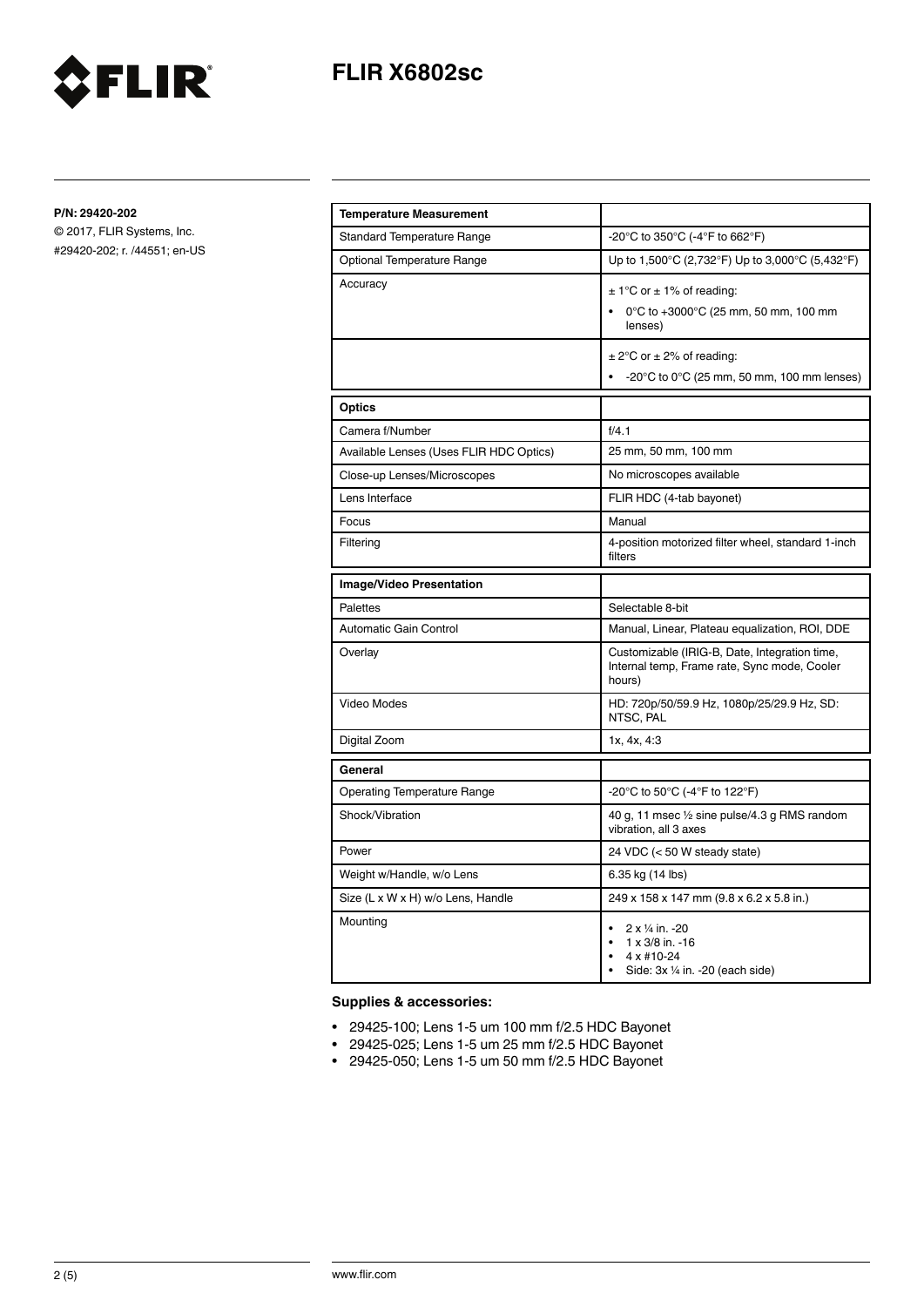



© 2017, FLIR Systems, Inc. #29420-202; r. /44551; en-US

FLIR®

| <b>Temperature Measurement</b>          |                                                                                                          |
|-----------------------------------------|----------------------------------------------------------------------------------------------------------|
| <b>Standard Temperature Range</b>       | -20°C to 350°C (-4°F to 662°F)                                                                           |
| Optional Temperature Range              | Up to 1,500°C (2,732°F) Up to 3,000°C (5,432°F)                                                          |
| Accuracy                                | $\pm$ 1°C or $\pm$ 1% of reading:<br>0°C to +3000°C (25 mm, 50 mm, 100 mm<br>lenses)                     |
|                                         | $\pm$ 2°C or $\pm$ 2% of reading:<br>$-20^{\circ}$ C to 0 $^{\circ}$ C (25 mm, 50 mm, 100 mm lenses)     |
| Optics                                  |                                                                                                          |
| Camera f/Number                         | f/4.1                                                                                                    |
| Available Lenses (Uses FLIR HDC Optics) | 25 mm, 50 mm, 100 mm                                                                                     |
| Close-up Lenses/Microscopes             | No microscopes available                                                                                 |
| Lens Interface                          | FLIR HDC (4-tab bayonet)                                                                                 |
| Focus                                   | Manual                                                                                                   |
| Filtering                               | 4-position motorized filter wheel, standard 1-inch<br>filters                                            |
| <b>Image/Video Presentation</b>         |                                                                                                          |
| <b>Palettes</b>                         | Selectable 8-bit                                                                                         |
| Automatic Gain Control                  | Manual, Linear, Plateau equalization, ROI, DDE                                                           |
| Overlay                                 | Customizable (IRIG-B, Date, Integration time,<br>Internal temp, Frame rate, Sync mode, Cooler<br>hours)  |
| Video Modes                             | HD: 720p/50/59.9 Hz, 1080p/25/29.9 Hz, SD:<br>NTSC. PAL                                                  |
| Digital Zoom                            | 1x, 4x, 4:3                                                                                              |
| General                                 |                                                                                                          |
| <b>Operating Temperature Range</b>      | -20°C to 50°C (-4°F to 122°F)                                                                            |
| Shock/Vibration                         | 40 g, 11 msec 1/2 sine pulse/4.3 g RMS random<br>vibration, all 3 axes                                   |
| Power                                   | 24 VDC (< 50 W steady state)                                                                             |
| Weight w/Handle, w/o Lens               | 6.35 kg (14 lbs)                                                                                         |
| Size (L x W x H) w/o Lens, Handle       | 249 x 158 x 147 mm (9.8 x 6.2 x 5.8 in.)                                                                 |
| Mounting                                | 2 x 1/4 in. -20<br>$\bullet$<br>$1 \times 3/8$ in. -16<br>4 x #10-24<br>Side: 3x 1/4 in. -20 (each side) |

## **Supplies & accessories:**

- 29425-100; Lens 1-5 um 100 mm f/2.5 HDC Bayonet
- 29425-025; Lens 1-5 um 25 mm f/2.5 HDC Bayonet
- 29425-050; Lens 1-5 um 50 mm f/2.5 HDC Bayonet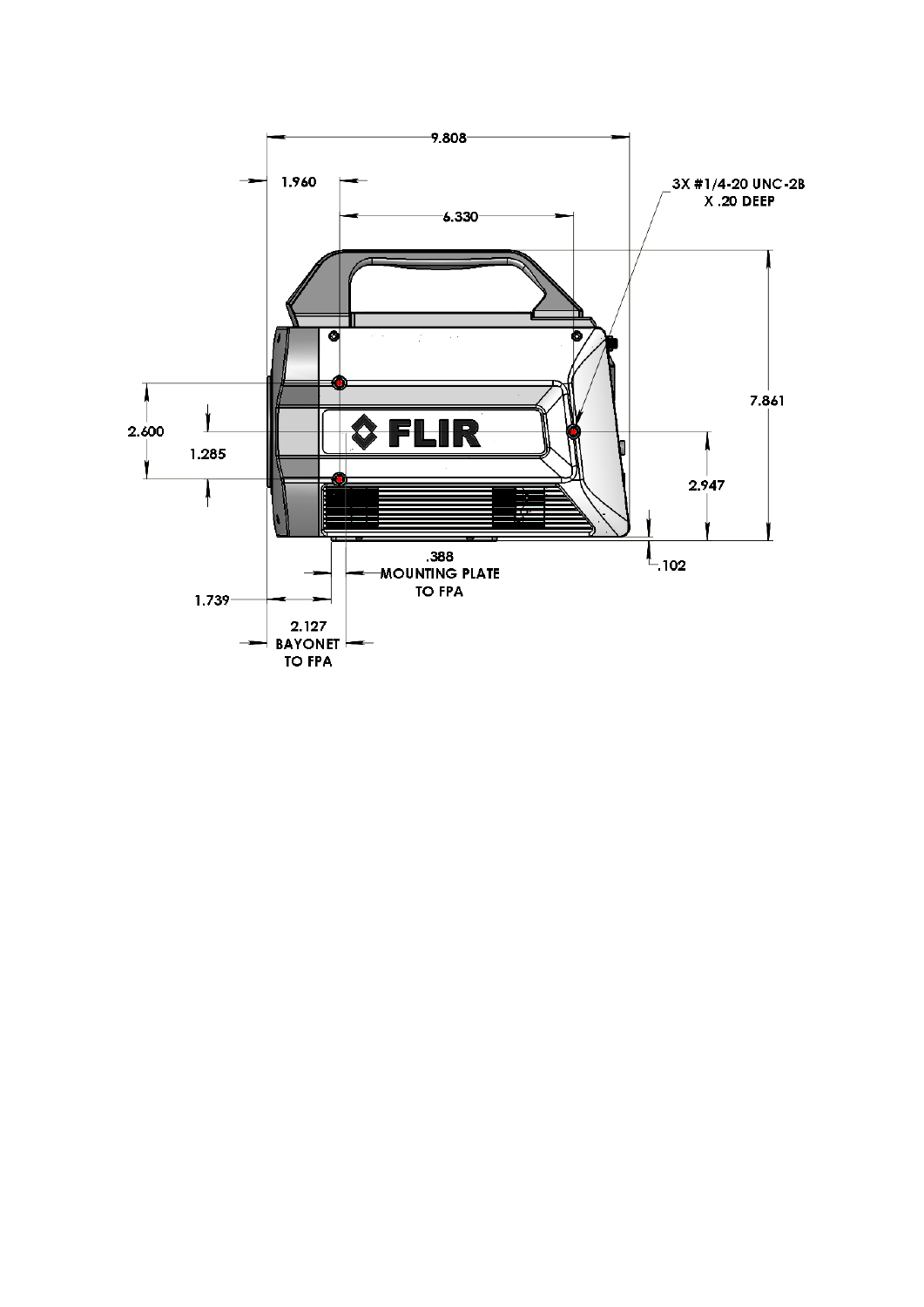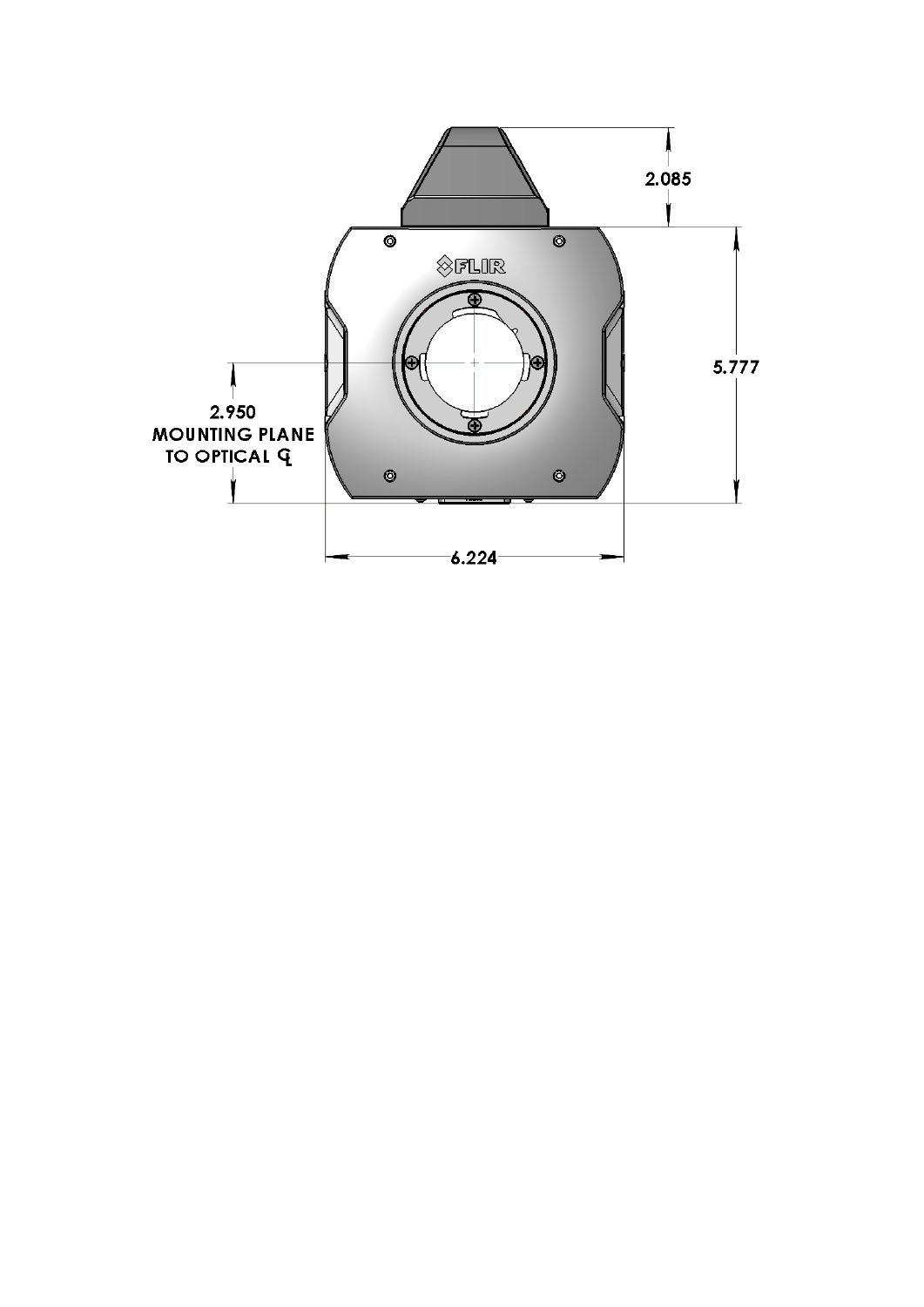